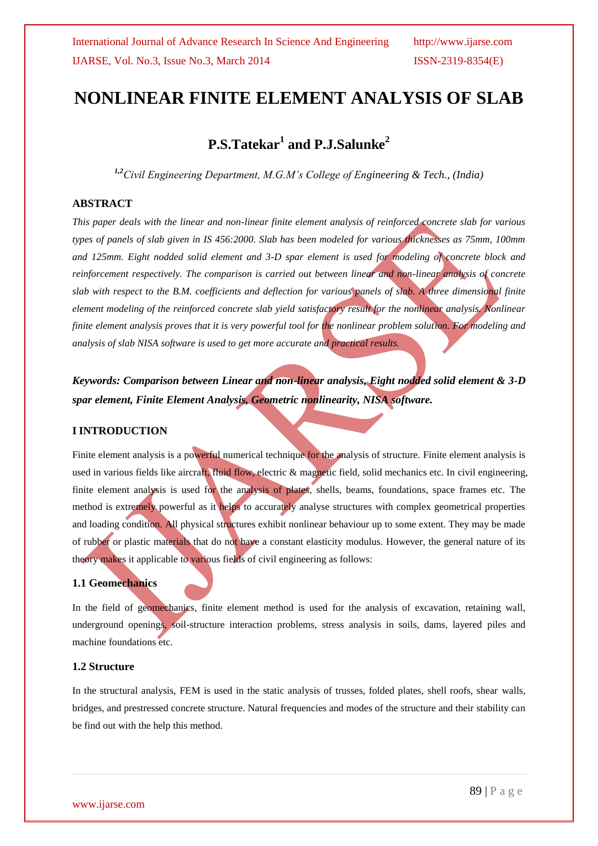# **NONLINEAR FINITE ELEMENT ANALYSIS OF SLAB**

# **P.S.Tatekar<sup>1</sup> and P.J.Salunke<sup>2</sup>**

*1,2Civil Engineering Department, M.G.M's College of Engineering & Tech., (India)* 

# **ABSTRACT**

*This paper deals with the linear and non-linear finite element analysis of reinforced concrete slab for various types of panels of slab given in IS 456:2000. Slab has been modeled for various thicknesses as 75mm, 100mm and 125mm. Eight nodded solid element and 3-D spar element is used for modeling of concrete block and reinforcement respectively. The comparison is carried out between linear and non-linear analysis of concrete slab with respect to the B.M. coefficients and deflection for various panels of slab. A three dimensional finite element modeling of the reinforced concrete slab yield satisfactory result for the nonlinear analysis. Nonlinear finite element analysis proves that it is very powerful tool for the nonlinear problem solution. For modeling and analysis of slab NISA software is used to get more accurate and practical results.* 

*Keywords: Comparison between Linear and non-linear analysis, Eight nodded solid element & 3-D spar element, Finite Element Analysis, Geometric nonlinearity, NISA software.*

### **I INTRODUCTION**

Finite element analysis is a powerful numerical technique for the analysis of structure. Finite element analysis is used in various fields like aircraft, fluid flow, electric & magnetic field, solid mechanics etc. In civil engineering, finite element analysis is used for the analysis of plates, shells, beams, foundations, space frames etc. The method is extremely powerful as it helps to accurately analyse structures with complex geometrical properties and loading condition. All physical structures exhibit nonlinear behaviour up to some extent. They may be made of rubber or plastic materials that do not have a constant elasticity modulus. However, the general nature of its theory makes it applicable to various fields of civil engineering as follows:

### **1.1 Geomechanics**

In the field of geomechanics, finite element method is used for the analysis of excavation, retaining wall, underground openings, soil-structure interaction problems, stress analysis in soils, dams, layered piles and machine foundations etc.

## **1.2 Structure**

In the structural analysis, FEM is used in the static analysis of trusses, folded plates, shell roofs, shear walls, bridges, and prestressed concrete structure. Natural frequencies and modes of the structure and their stability can be find out with the help this method.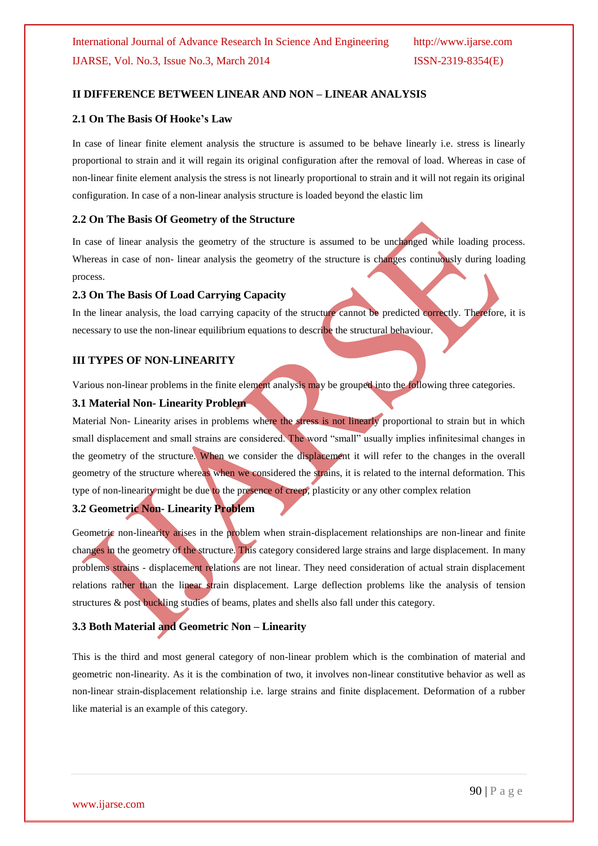## **II DIFFERENCE BETWEEN LINEAR AND NON – LINEAR ANALYSIS**

#### **2.1 On The Basis Of Hooke's Law**

In case of linear finite element analysis the structure is assumed to be behave linearly i.e. stress is linearly proportional to strain and it will regain its original configuration after the removal of load. Whereas in case of non-linear finite element analysis the stress is not linearly proportional to strain and it will not regain its original configuration. In case of a non-linear analysis structure is loaded beyond the elastic lim

### **2.2 On The Basis Of Geometry of the Structure**

In case of linear analysis the geometry of the structure is assumed to be unchanged while loading process. Whereas in case of non-linear analysis the geometry of the structure is changes continuously during loading process.

#### **2.3 On The Basis Of Load Carrying Capacity**

In the linear analysis, the load carrying capacity of the structure cannot be predicted correctly. Therefore, it is necessary to use the non-linear equilibrium equations to describe the structural behaviour.

#### **III TYPES OF NON-LINEARITY**

Various non-linear problems in the finite element analysis may be grouped into the following three categories.

#### **3.1 Material Non- Linearity Problem**

Material Non- Linearity arises in problems where the stress is not linearly proportional to strain but in which small displacement and small strains are considered. The word "small" usually implies infinitesimal changes in the geometry of the structure. When we consider the displacement it will refer to the changes in the overall geometry of the structure whereas when we considered the strains, it is related to the internal deformation. This type of non-linearity might be due to the presence of creep, plasticity or any other complex relation

# **3.2 Geometric Non- Linearity Problem**

Geometric non-linearity arises in the problem when strain-displacement relationships are non-linear and finite changes in the geometry of the structure. This category considered large strains and large displacement. In many problems strains - displacement relations are not linear. They need consideration of actual strain displacement relations rather than the linear strain displacement. Large deflection problems like the analysis of tension structures & post buckling studies of beams, plates and shells also fall under this category.

# **3.3 Both Material and Geometric Non – Linearity**

This is the third and most general category of non-linear problem which is the combination of material and geometric non-linearity. As it is the combination of two, it involves non-linear constitutive behavior as well as non-linear strain-displacement relationship i.e. large strains and finite displacement. Deformation of a rubber like material is an example of this category.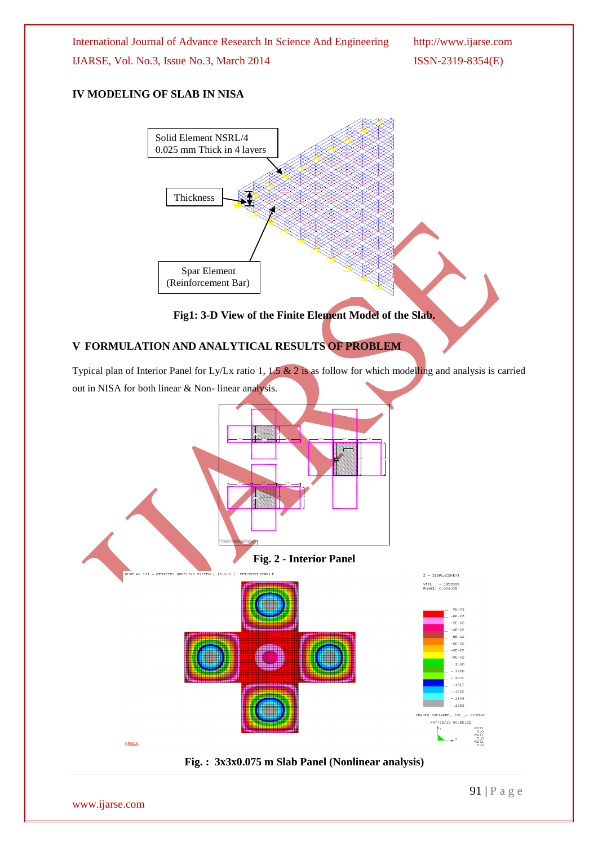International Journal of Advance Research In Science And Engineering http://www.ijarse.com IJARSE, Vol. No.3, Issue No.3, March 2014 ISSN-2319-8354(E)

# **IV MODELING OF SLAB IN NISA**



**Fig1: 3-D View of the Finite Element Model of the Slab.**

# **V FORMULATION AND ANALYTICAL RESULTS OF PROBLEM**

Typical plan of Interior Panel for Ly/Lx ratio 1, 1.5 & 2 is as follow for which modelling and analysis is carried out in NISA for both linear & Non- linear analysis.

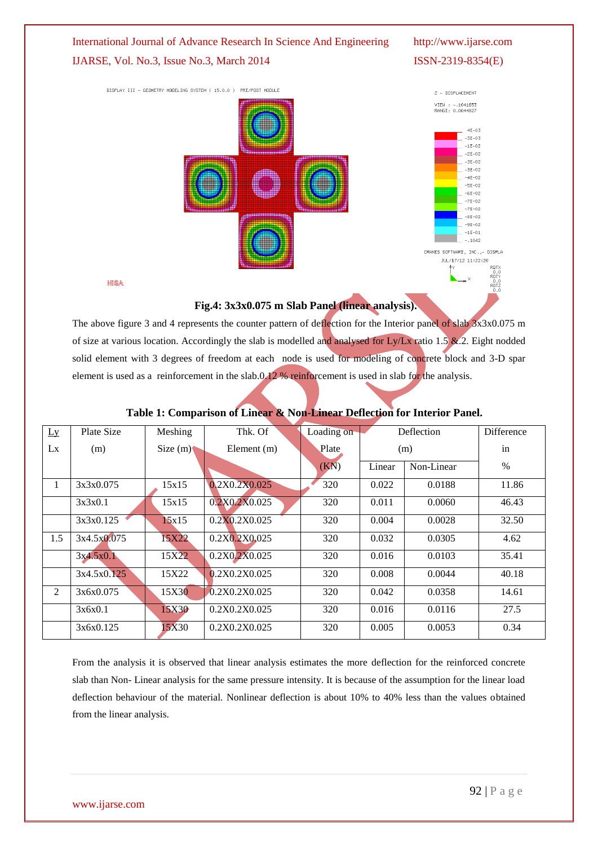

# **Fig.4: 3x3x0.075 m Slab Panel (linear analysis).**

The above figure 3 and 4 represents the counter pattern of deflection for the Interior panel of slab  $3x3x0.075$  m of size at various location. Accordingly the slab is modelled and analysed for Ly/Lx ratio 1.5  $\&$ .2. Eight nodded solid element with 3 degrees of freedom at each node is used for modeling of concrete block and 3-D spar element is used as a reinforcement in the slab.0.12 % reinforcement is used in slab for the analysis.

| Ly           | Plate Size  | Meshing    | Thk. Of       | Loading on | Deflection |            | Difference |
|--------------|-------------|------------|---------------|------------|------------|------------|------------|
| Lx           | (m)         | Size $(m)$ | Element (m)   | Plate      | (m)        |            | in         |
|              |             |            |               | (KN)       | Linear     | Non-Linear | $\%$       |
| $\mathbf{1}$ | 3x3x0.075   | 15x15      | 0.2X0.2X0.025 | 320        | 0.022      | 0.0188     | 11.86      |
|              | 3x3x0.1     | 15x15      | 0.2X0.2X0.025 | 320        | 0.011      | 0.0060     | 46.43      |
|              | 3x3x0.125   | 15x15      | 0.2X0.2X0.025 | 320        | 0.004      | 0.0028     | 32.50      |
| 1.5          | 3x4.5x0.075 | 15X22      | 0.2X0.2X0.025 | 320        | 0.032      | 0.0305     | 4.62       |
|              | 3x4.5x0.1   | 15X22      | 0.2X0.2X0.025 | 320        | 0.016      | 0.0103     | 35.41      |
|              | 3x4.5x0.125 | 15X22      | 0.2X0.2X0.025 | 320        | 0.008      | 0.0044     | 40.18      |
| 2            | 3x6x0.075   | 15X30      | 0.2X0.2X0.025 | 320        | 0.042      | 0.0358     | 14.61      |
|              | 3x6x0.1     | 15X30      | 0.2X0.2X0.025 | 320        | 0.016      | 0.0116     | 27.5       |
|              | 3x6x0.125   | 15X30      | 0.2X0.2X0.025 | 320        | 0.005      | 0.0053     | 0.34       |

# **Table 1: Comparison of Linear & Non-Linear Deflection for Interior Panel.**

From the analysis it is observed that linear analysis estimates the more deflection for the reinforced concrete slab than Non- Linear analysis for the same pressure intensity. It is because of the assumption for the linear load deflection behaviour of the material. Nonlinear deflection is about 10% to 40% less than the values obtained from the linear analysis.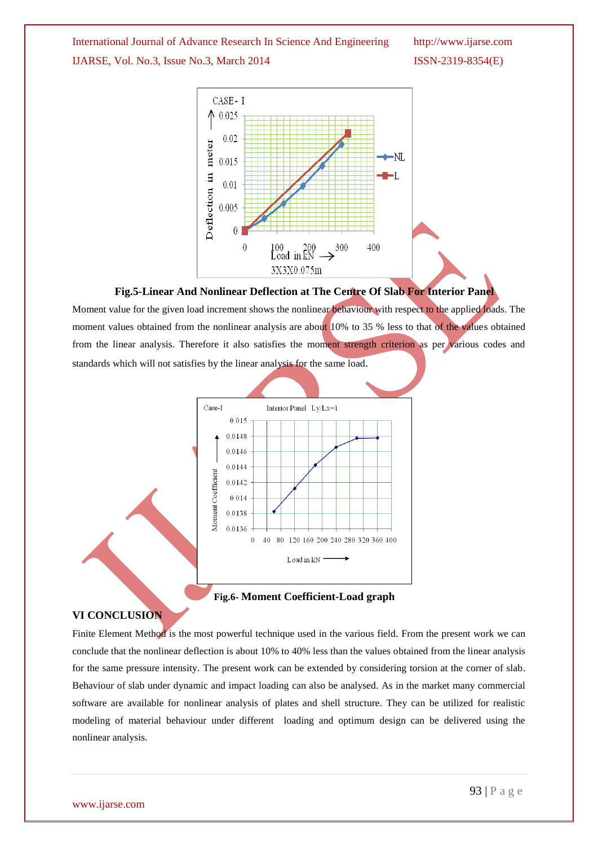International Journal of Advance Research In Science And Engineering http://www.ijarse.com IJARSE, Vol. No.3, Issue No.3, March 2014 ISSN-2319-8354(E)



### **Fig.5-Linear And Nonlinear Deflection at The Centre Of Slab For Interior Panel**

Moment value for the given load increment shows the nonlinear behaviour with respect to the applied loads. The moment values obtained from the nonlinear analysis are about 10% to 35 % less to that of the values obtained from the linear analysis. Therefore it also satisfies the moment strength criterion as per various codes and standards which will not satisfies by the linear analysis for the same load.



**Fig.6- Moment Coefficient-Load graph**

### **VI CONCLUSION**

Finite Element Method is the most powerful technique used in the various field. From the present work we can conclude that the nonlinear deflection is about 10% to 40% less than the values obtained from the linear analysis for the same pressure intensity. The present work can be extended by considering torsion at the corner of slab. Behaviour of slab under dynamic and impact loading can also be analysed. As in the market many commercial software are available for nonlinear analysis of plates and shell structure. They can be utilized for realistic modeling of material behaviour under different loading and optimum design can be delivered using the nonlinear analysis.